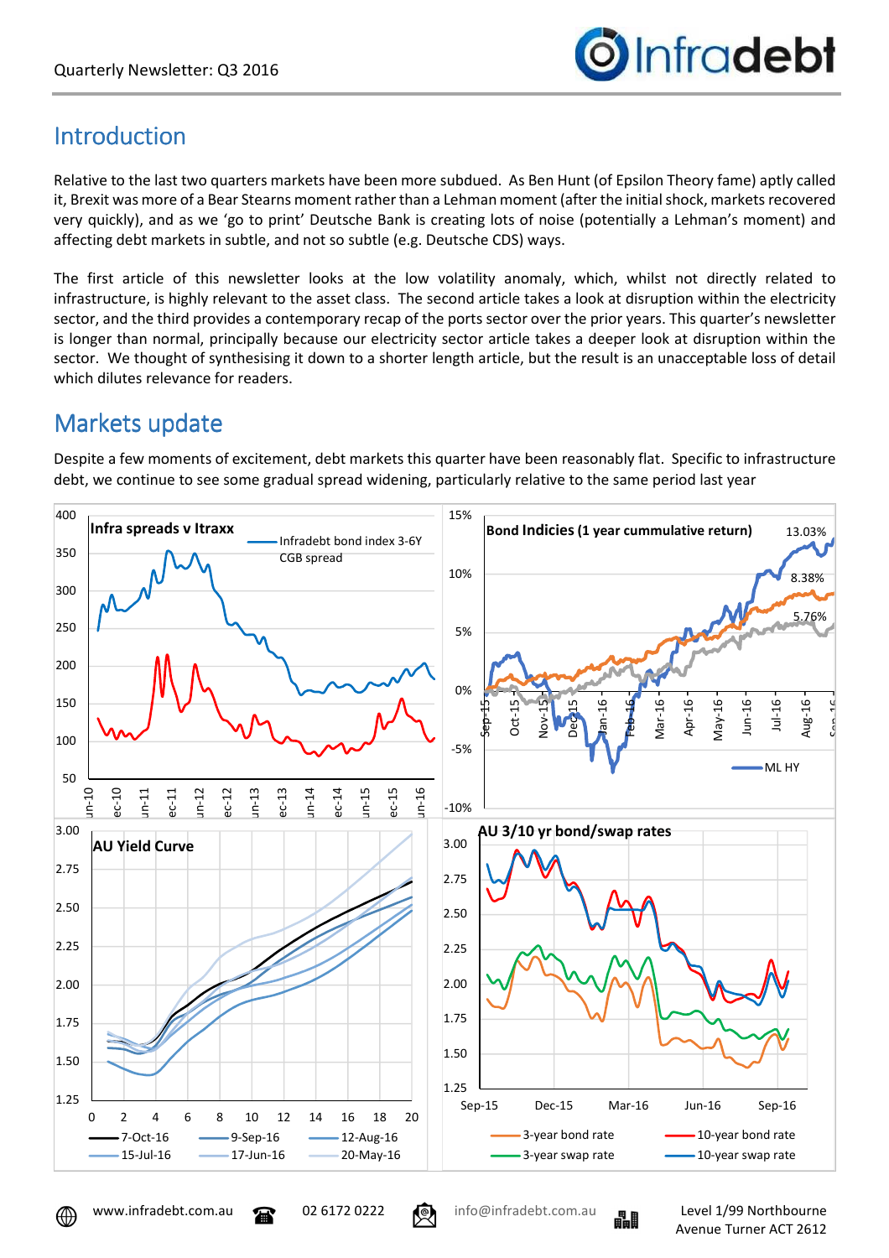

## **Introduction**

Relative to the last two quarters markets have been more subdued. As Ben Hunt (of Epsilon Theory fame) aptly called it, Brexit was more of a Bear Stearns moment rather than a Lehman moment (after the initial shock, markets recovered very quickly), and as we 'go to print' Deutsche Bank is creating lots of noise (potentially a Lehman's moment) and affecting debt markets in subtle, and not so subtle (e.g. Deutsche CDS) ways.

The first article of this newsletter looks at the low volatility anomaly, which, whilst not directly related to infrastructure, is highly relevant to the asset class. The second article takes a look at disruption within the electricity sector, and the third provides a contemporary recap of the ports sector over the prior years. This quarter's newsletter is longer than normal, principally because our electricity sector article takes a deeper look at disruption within the sector. We thought of synthesising it down to a shorter length article, but the result is an unacceptable loss of detail which dilutes relevance for readers.

## Markets update

Despite a few moments of excitement, debt markets this quarter have been reasonably flat. Specific to infrastructure debt, we continue to see some gradual spread widening, particularly relative to the same period last year



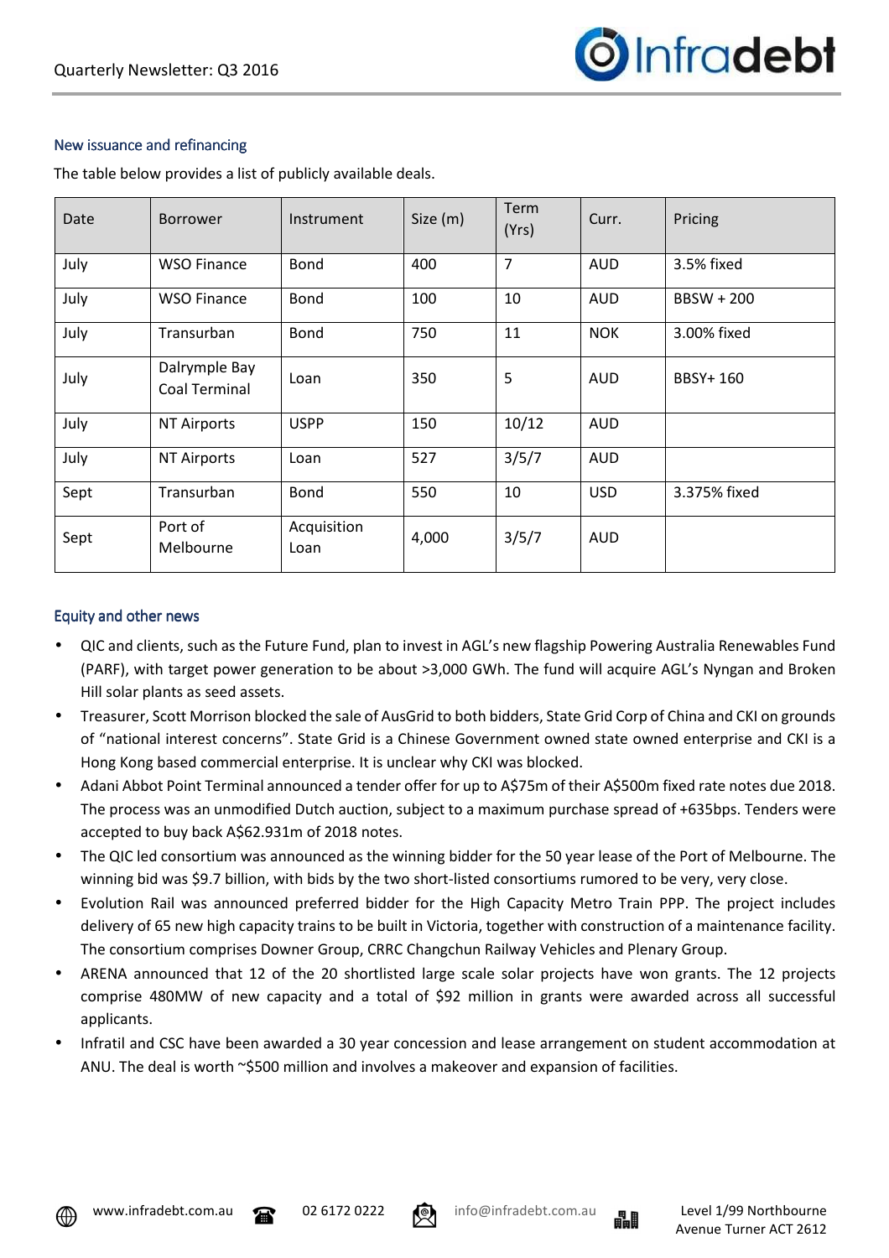

#### New issuance and refinancing

The table below provides a list of publicly available deals.

| Date | <b>Borrower</b>                | Instrument          | Size (m) | Term<br>(Yrs)  | Curr.      | Pricing      |
|------|--------------------------------|---------------------|----------|----------------|------------|--------------|
| July | <b>WSO Finance</b>             | Bond                | 400      | $\overline{7}$ | <b>AUD</b> | 3.5% fixed   |
| July | <b>WSO Finance</b>             | Bond                | 100      | 10             | <b>AUD</b> | BBSW + 200   |
| July | Transurban                     | Bond                | 750      | 11             | <b>NOK</b> | 3.00% fixed  |
| July | Dalrymple Bay<br>Coal Terminal | Loan                | 350      | 5              | <b>AUD</b> | BBSY+ 160    |
| July | <b>NT Airports</b>             | <b>USPP</b>         | 150      | 10/12          | <b>AUD</b> |              |
| July | <b>NT Airports</b>             | Loan                | 527      | 3/5/7          | <b>AUD</b> |              |
| Sept | Transurban                     | Bond                | 550      | 10             | <b>USD</b> | 3.375% fixed |
| Sept | Port of<br>Melbourne           | Acquisition<br>Loan | 4,000    | 3/5/7          | AUD        |              |

#### Equity and other news

- QIC and clients, such as the Future Fund, plan to invest in AGL's new flagship Powering Australia Renewables Fund (PARF), with target power generation to be about >3,000 GWh. The fund will acquire AGL's Nyngan and Broken Hill solar plants as seed assets.
- Treasurer, Scott Morrison blocked the sale of AusGrid to both bidders, State Grid Corp of China and CKI on grounds of "national interest concerns". State Grid is a Chinese Government owned state owned enterprise and CKI is a Hong Kong based commercial enterprise. It is unclear why CKI was blocked.
- Adani Abbot Point Terminal announced a tender offer for up to A\$75m of their A\$500m fixed rate notes due 2018. The process was an unmodified Dutch auction, subject to a maximum purchase spread of +635bps. Tenders were accepted to buy back A\$62.931m of 2018 notes.
- The QIC led consortium was announced as the winning bidder for the 50 year lease of the Port of Melbourne. The winning bid was \$9.7 billion, with bids by the two short-listed consortiums rumored to be very, very close.
- Evolution Rail was announced preferred bidder for the High Capacity Metro Train PPP. The project includes delivery of 65 new high capacity trains to be built in Victoria, together with construction of a maintenance facility. The consortium comprises Downer Group, CRRC Changchun Railway Vehicles and Plenary Group.
- ARENA announced that 12 of the 20 shortlisted large scale solar projects have won grants. The 12 projects comprise 480MW of new capacity and a total of \$92 million in grants were awarded across all successful applicants.
- Infratil and CSC have been awarded a 30 year concession and lease arrangement on student accommodation at ANU. The deal is worth ~\$500 million and involves a makeover and expansion of facilities.







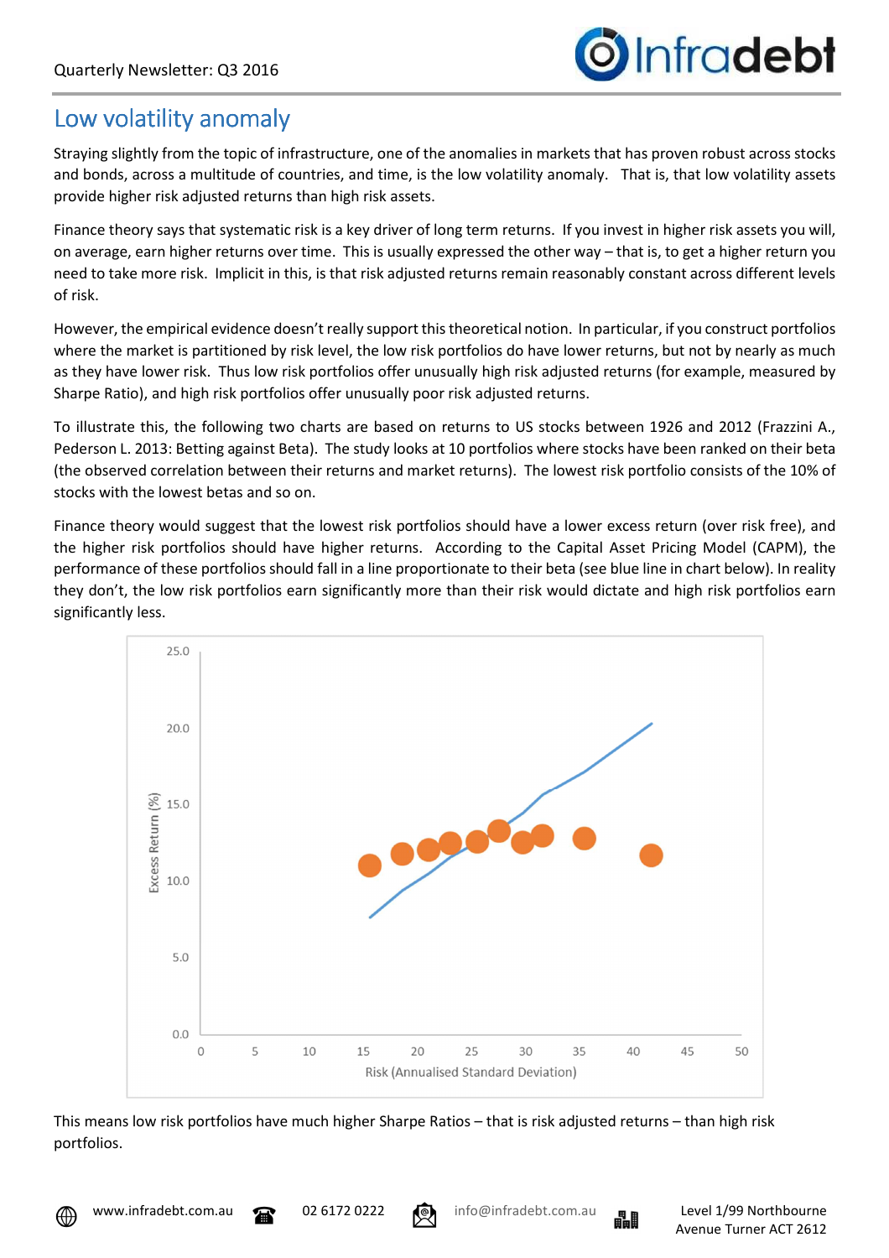

## Low volatility anomaly

Straying slightly from the topic of infrastructure, one of the anomalies in markets that has proven robust across stocks and bonds, across a multitude of countries, and time, is the low volatility anomaly. That is, that low volatility assets provide higher risk adjusted returns than high risk assets.

Finance theory says that systematic risk is a key driver of long term returns. If you invest in higher risk assets you will, on average, earn higher returns over time. This is usually expressed the other way – that is, to get a higher return you need to take more risk. Implicit in this, is that risk adjusted returns remain reasonably constant across different levels of risk.

However, the empirical evidence doesn't really support this theoretical notion. In particular, if you construct portfolios where the market is partitioned by risk level, the low risk portfolios do have lower returns, but not by nearly as much as they have lower risk. Thus low risk portfolios offer unusually high risk adjusted returns (for example, measured by Sharpe Ratio), and high risk portfolios offer unusually poor risk adjusted returns.

To illustrate this, the following two charts are based on returns to US stocks between 1926 and 2012 (Frazzini A., Pederson L. 2013: Betting against Beta). The study looks at 10 portfolios where stocks have been ranked on their beta (the observed correlation between their returns and market returns). The lowest risk portfolio consists of the 10% of stocks with the lowest betas and so on.

Finance theory would suggest that the lowest risk portfolios should have a lower excess return (over risk free), and the higher risk portfolios should have higher returns. According to the Capital Asset Pricing Model (CAPM), the performance of these portfolios should fall in a line proportionate to their beta (see blue line in chart below). In reality they don't, the low risk portfolios earn significantly more than their risk would dictate and high risk portfolios earn significantly less.



This means low risk portfolios have much higher Sharpe Ratios – that is risk adjusted returns – than high risk portfolios.



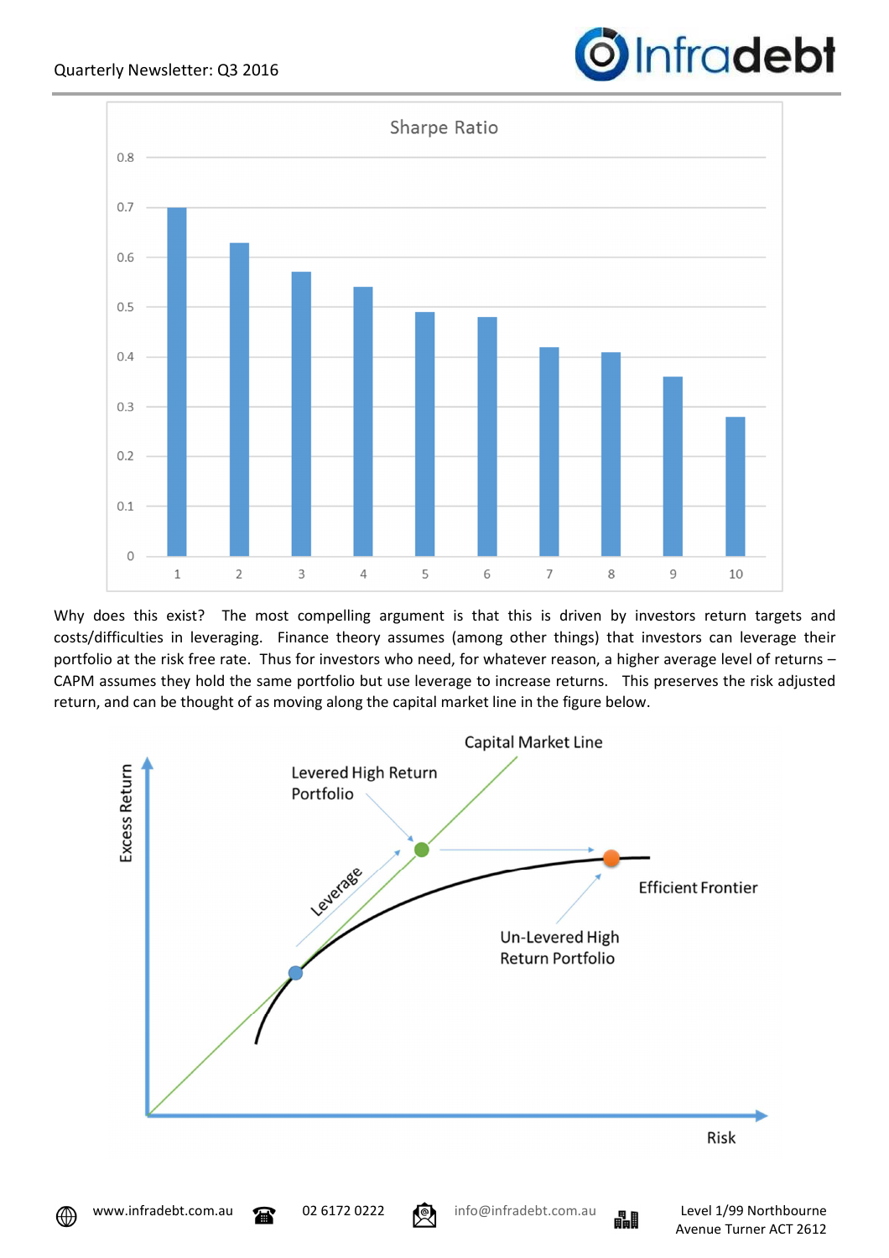

Why does this exist? The most compelling argument is that this is driven by investors return targets and costs/difficulties in leveraging. Finance theory assumes (among other things) that investors can leverage their portfolio at the risk free rate. Thus for investors who need, for whatever reason, a higher average level of returns – CAPM assumes they hold the same portfolio but use leverage to increase returns. This preserves the risk adjusted return, and can be thought of as moving along the capital market line in the figure below.



⊕



Infradebt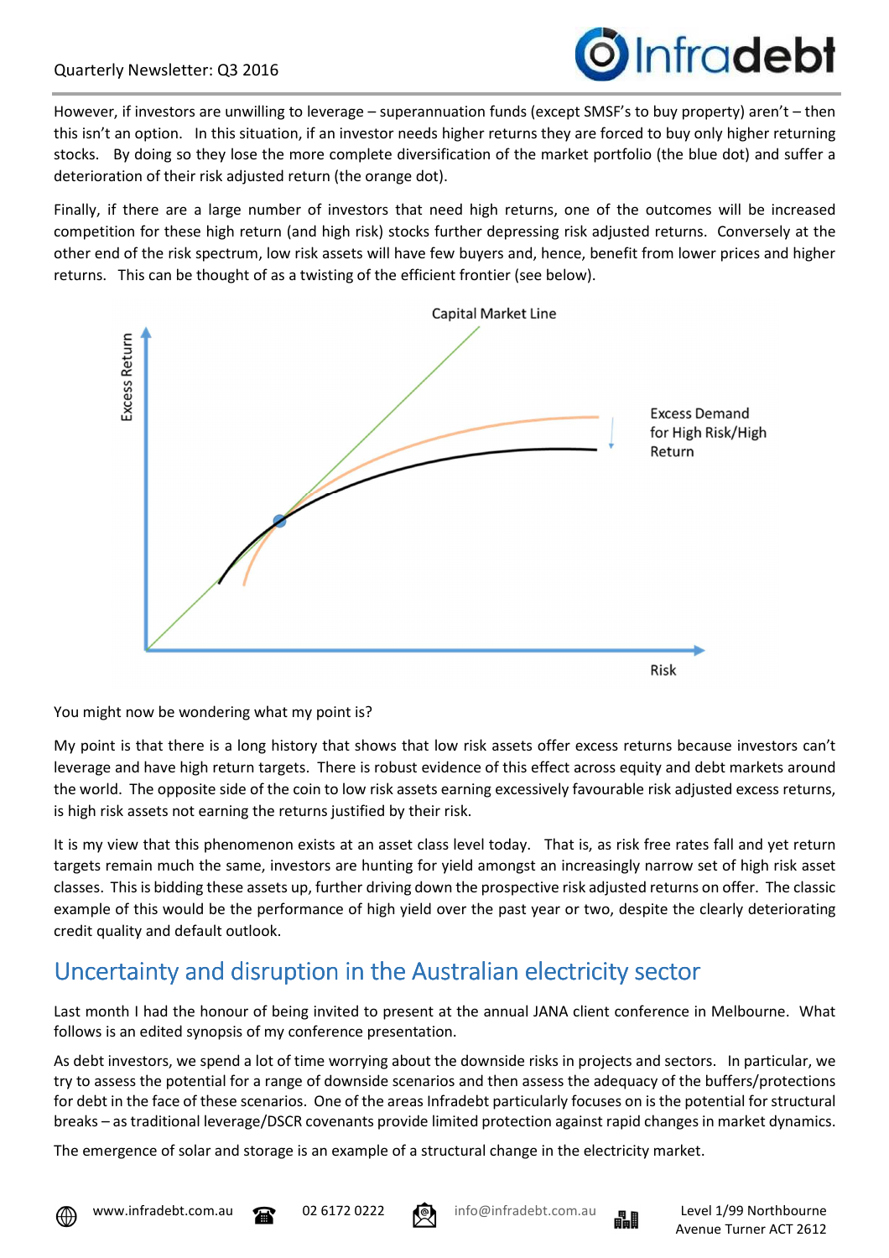

However, if investors are unwilling to leverage – superannuation funds (except SMSF's to buy property) aren't – then this isn't an option. In this situation, if an investor needs higher returns they are forced to buy only higher returning stocks. By doing so they lose the more complete diversification of the market portfolio (the blue dot) and suffer a deterioration of their risk adjusted return (the orange dot).

Finally, if there are a large number of investors that need high returns, one of the outcomes will be increased competition for these high return (and high risk) stocks further depressing risk adjusted returns. Conversely at the other end of the risk spectrum, low risk assets will have few buyers and, hence, benefit from lower prices and higher returns. This can be thought of as a twisting of the efficient frontier (see below).



You might now be wondering what my point is?

My point is that there is a long history that shows that low risk assets offer excess returns because investors can't leverage and have high return targets. There is robust evidence of this effect across equity and debt markets around the world. The opposite side of the coin to low risk assets earning excessively favourable risk adjusted excess returns, is high risk assets not earning the returns justified by their risk.

It is my view that this phenomenon exists at an asset class level today. That is, as risk free rates fall and yet return targets remain much the same, investors are hunting for yield amongst an increasingly narrow set of high risk asset classes. This is bidding these assets up, further driving down the prospective risk adjusted returns on offer. The classic example of this would be the performance of high yield over the past year or two, despite the clearly deteriorating credit quality and default outlook.

# Uncertainty and disruption in the Australian electricity sector

Last month I had the honour of being invited to present at the annual JANA client conference in Melbourne. What follows is an edited synopsis of my conference presentation.

As debt investors, we spend a lot of time worrying about the downside risks in projects and sectors. In particular, we try to assess the potential for a range of downside scenarios and then assess the adequacy of the buffers/protections for debt in the face of these scenarios. One of the areas Infradebt particularly focuses on is the potential for structural breaks – as traditional leverage/DSCR covenants provide limited protection against rapid changes in market dynamics.

The emergence of solar and storage is an example of a structural change in the electricity market.





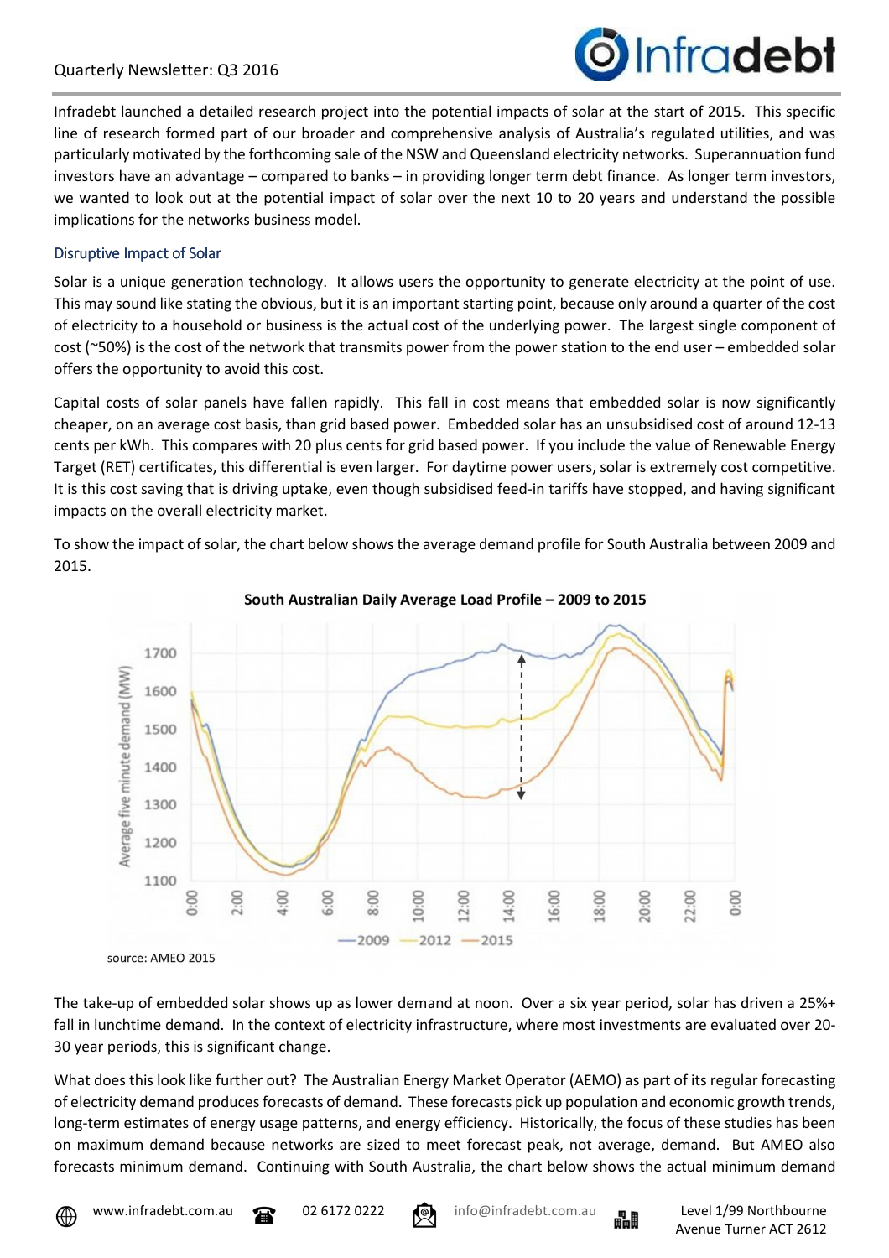### Quarterly Newsletter: Q3 2016



Infradebt launched a detailed research project into the potential impacts of solar at the start of 2015. This specific line of research formed part of our broader and comprehensive analysis of Australia's regulated utilities, and was particularly motivated by the forthcoming sale of the NSW and Queensland electricity networks. Superannuation fund investors have an advantage – compared to banks – in providing longer term debt finance. As longer term investors, we wanted to look out at the potential impact of solar over the next 10 to 20 years and understand the possible implications for the networks business model.

#### Disruptive Impact of Solar

Solar is a unique generation technology. It allows users the opportunity to generate electricity at the point of use. This may sound like stating the obvious, but it is an important starting point, because only around a quarter of the cost of electricity to a household or business is the actual cost of the underlying power. The largest single component of cost (~50%) is the cost of the network that transmits power from the power station to the end user – embedded solar offers the opportunity to avoid this cost.

Capital costs of solar panels have fallen rapidly. This fall in cost means that embedded solar is now significantly cheaper, on an average cost basis, than grid based power. Embedded solar has an unsubsidised cost of around 12-13 cents per kWh. This compares with 20 plus cents for grid based power. If you include the value of Renewable Energy Target (RET) certificates, this differential is even larger. For daytime power users, solar is extremely cost competitive. It is this cost saving that is driving uptake, even though subsidised feed-in tariffs have stopped, and having significant impacts on the overall electricity market.

To show the impact of solar, the chart below shows the average demand profile for South Australia between 2009 and 2015.





source: AMEO 2015

The take-up of embedded solar shows up as lower demand at noon. Over a six year period, solar has driven a 25%+ fall in lunchtime demand. In the context of electricity infrastructure, where most investments are evaluated over 20- 30 year periods, this is significant change.

What does this look like further out? The Australian Energy Market Operator (AEMO) as part of its regular forecasting of electricity demand produces forecasts of demand. These forecasts pick up population and economic growth trends, long-term estimates of energy usage patterns, and energy efficiency. Historically, the focus of these studies has been on maximum demand because networks are sized to meet forecast peak, not average, demand. But AMEO also forecasts minimum demand. Continuing with South Australia, the chart below shows the actual minimum demand



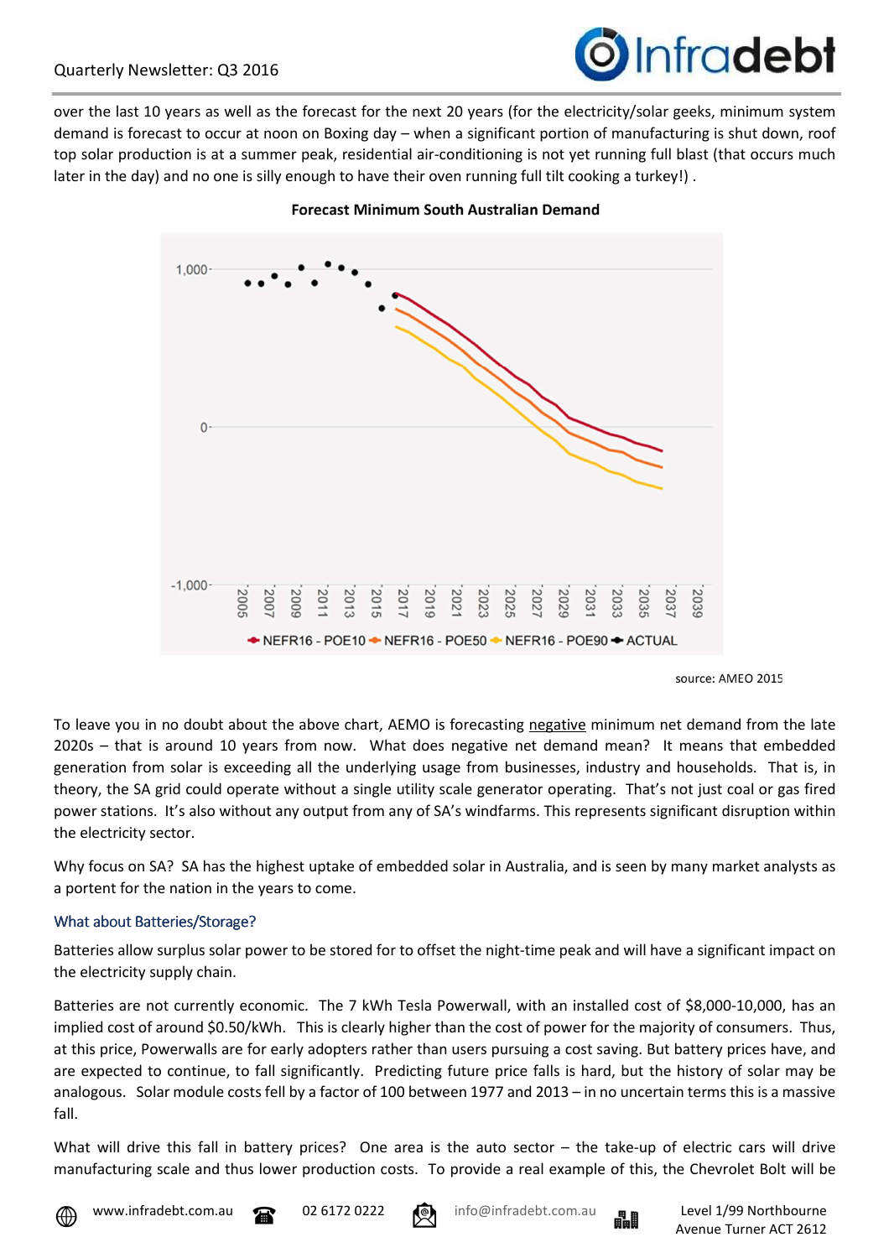

over the last 10 years as well as the forecast for the next 20 years (for the electricity/solar geeks, minimum system demand is forecast to occur at noon on Boxing day – when a significant portion of manufacturing is shut down, roof top solar production is at a summer peak, residential air-conditioning is not yet running full blast (that occurs much later in the day) and no one is silly enough to have their oven running full tilt cooking a turkey!).



**Forecast Minimum South Australian Demand** 

To leave you in no doubt about the above chart, AEMO is forecasting negative minimum net demand from the late 2020s – that is around 10 years from now. What does negative net demand mean? It means that embedded generation from solar is exceeding all the underlying usage from businesses, industry and households. That is, in theory, the SA grid could operate without a single utility scale generator operating. That's not just coal or gas fired power stations. It's also without any output from any of SA's windfarms. This represents significant disruption within the electricity sector.

Why focus on SA? SA has the highest uptake of embedded solar in Australia, and is seen by many market analysts as a portent for the nation in the years to come.

### What about Batteries/Storage?

Batteries allow surplus solar power to be stored for to offset the night-time peak and will have a significant impact on the electricity supply chain.

Batteries are not currently economic. The 7 kWh Tesla Powerwall, with an installed cost of \$8,000-10,000, has an implied cost of around \$0.50/kWh. This is clearly higher than the cost of power for the majority of consumers. Thus, at this price, Powerwalls are for early adopters rather than users pursuing a cost saving. But battery prices have, and are expected to continue, to fall significantly. Predicting future price falls is hard, but the history of solar may be analogous. Solar module costs fell by a factor of 100 between 1977 and 2013 – in no uncertain terms this is a massive fall.

What will drive this fall in battery prices? One area is the auto sector – the take-up of electric cars will drive manufacturing scale and thus lower production costs. To provide a real example of this, the Chevrolet Bolt will be







source: AMEO 2015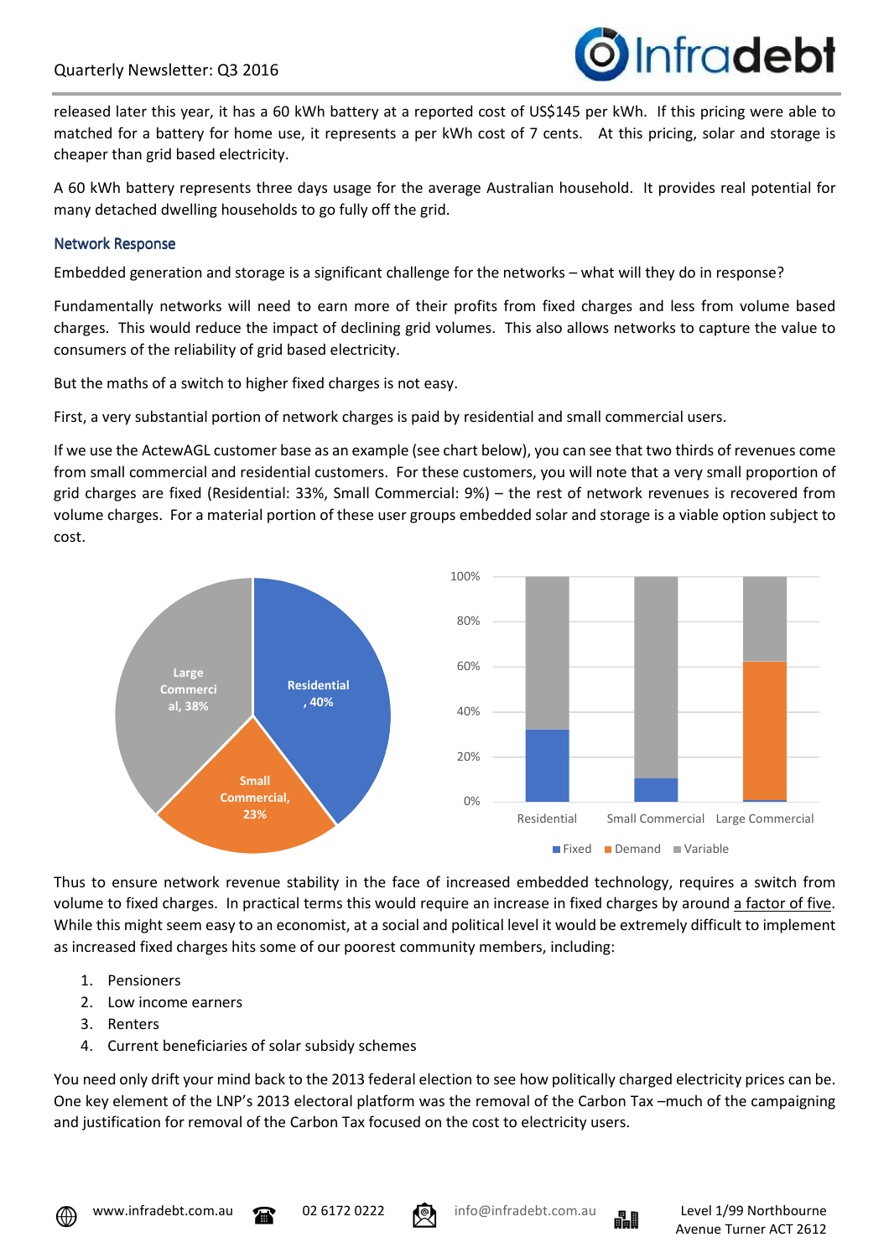

released later this year, it has a 60 kWh battery at a reported cost of US\$145 per kWh. If this pricing were able to matched for a battery for home use, it represents a per kWh cost of 7 cents. At this pricing, solar and storage is cheaper than grid based electricity.

A 60 kWh battery represents three days usage for the average Australian household. It provides real potential for many detached dwelling households to go fully off the grid.

#### Network Response

Embedded generation and storage is a significant challenge for the networks – what will they do in response?

Fundamentally networks will need to earn more of their profits from fixed charges and less from volume based charges. This would reduce the impact of declining grid volumes. This also allows networks to capture the value to consumers of the reliability of grid based electricity.

But the maths of a switch to higher fixed charges is not easy.

First, a very substantial portion of network charges is paid by residential and small commercial users.

If we use the ActewAGL customer base as an example (see chart below), you can see that two thirds of revenues come from small commercial and residential customers. For these customers, you will note that a very small proportion of grid charges are fixed (Residential: 33%, Small Commercial: 9%) – the rest of network revenues is recovered from volume charges. For a material portion of these user groups embedded solar and storage is a viable option subject to cost.



Thus to ensure network revenue stability in the face of increased embedded technology, requires a switch from volume to fixed charges. In practical terms this would require an increase in fixed charges by around a factor of five. While this might seem easy to an economist, at a social and political level it would be extremely difficult to implement as increased fixed charges hits some of our poorest community members, including:

- 1. Pensioners
- 2. Low income earners
- 3. Renters
- 4. Current beneficiaries of solar subsidy schemes

You need only drift your mind back to the 2013 federal election to see how politically charged electricity prices can be. One key element of the LNP's 2013 electoral platform was the removal of the Carbon Tax –much of the campaigning and justification for removal of the Carbon Tax focused on the cost to electricity users.





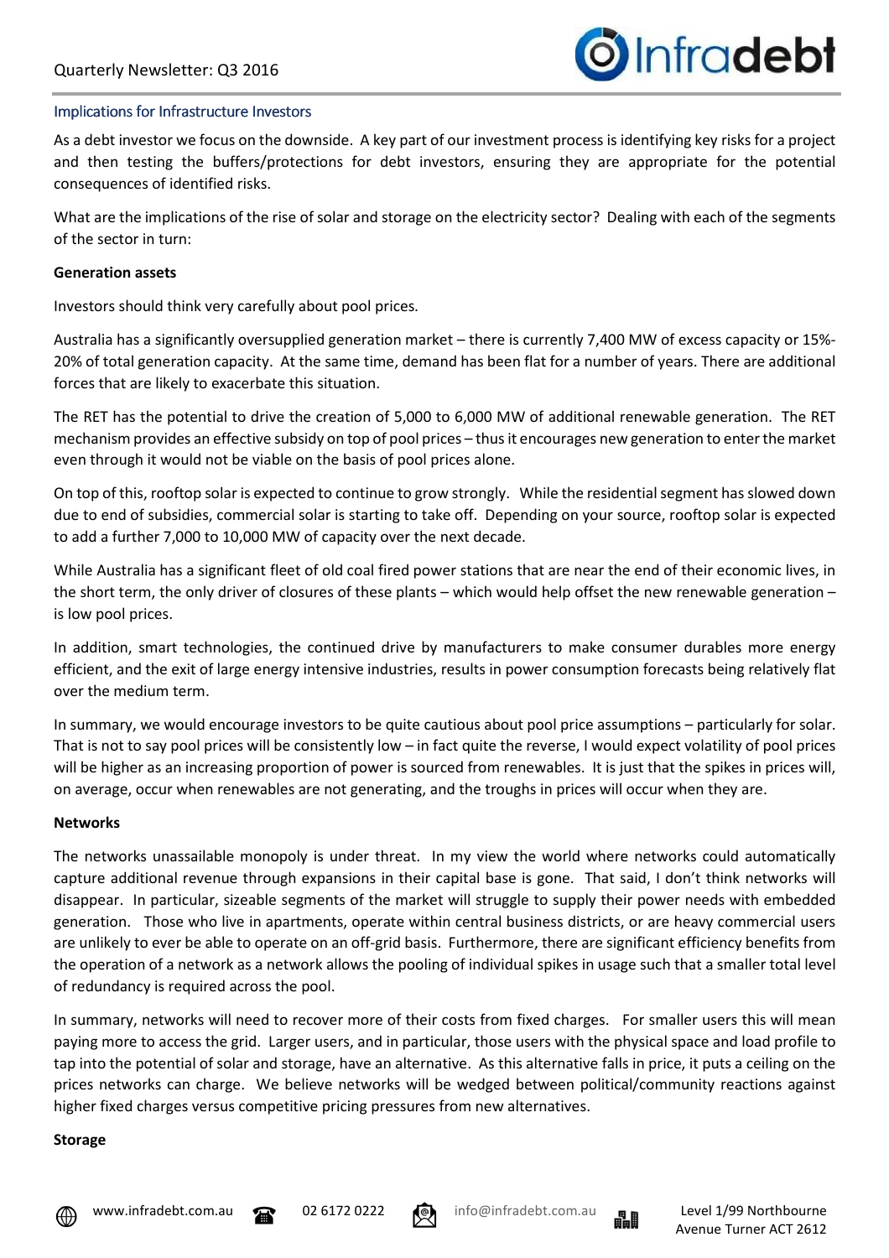

#### Implications for Infrastructure Investors

As a debt investor we focus on the downside. A key part of our investment process is identifying key risks for a project and then testing the buffers/protections for debt investors, ensuring they are appropriate for the potential consequences of identified risks.

What are the implications of the rise of solar and storage on the electricity sector? Dealing with each of the segments of the sector in turn:

#### **Generation assets**

Investors should think very carefully about pool prices.

Australia has a significantly oversupplied generation market – there is currently 7,400 MW of excess capacity or 15%- 20% of total generation capacity. At the same time, demand has been flat for a number of years. There are additional forces that are likely to exacerbate this situation.

The RET has the potential to drive the creation of 5,000 to 6,000 MW of additional renewable generation. The RET mechanism provides an effective subsidy on top of pool prices – thus it encourages new generation to enter the market even through it would not be viable on the basis of pool prices alone.

On top of this, rooftop solar is expected to continue to grow strongly. While the residential segment has slowed down due to end of subsidies, commercial solar is starting to take off. Depending on your source, rooftop solar is expected to add a further 7,000 to 10,000 MW of capacity over the next decade.

While Australia has a significant fleet of old coal fired power stations that are near the end of their economic lives, in the short term, the only driver of closures of these plants – which would help offset the new renewable generation – is low pool prices.

In addition, smart technologies, the continued drive by manufacturers to make consumer durables more energy efficient, and the exit of large energy intensive industries, results in power consumption forecasts being relatively flat over the medium term.

In summary, we would encourage investors to be quite cautious about pool price assumptions – particularly for solar. That is not to say pool prices will be consistently low – in fact quite the reverse, I would expect volatility of pool prices will be higher as an increasing proportion of power is sourced from renewables. It is just that the spikes in prices will, on average, occur when renewables are not generating, and the troughs in prices will occur when they are.

#### **Networks**

The networks unassailable monopoly is under threat. In my view the world where networks could automatically capture additional revenue through expansions in their capital base is gone. That said, I don't think networks will disappear. In particular, sizeable segments of the market will struggle to supply their power needs with embedded generation. Those who live in apartments, operate within central business districts, or are heavy commercial users are unlikely to ever be able to operate on an off-grid basis. Furthermore, there are significant efficiency benefits from the operation of a network as a network allows the pooling of individual spikes in usage such that a smaller total level of redundancy is required across the pool.

In summary, networks will need to recover more of their costs from fixed charges. For smaller users this will mean paying more to access the grid. Larger users, and in particular, those users with the physical space and load profile to tap into the potential of solar and storage, have an alternative. As this alternative falls in price, it puts a ceiling on the prices networks can charge. We believe networks will be wedged between political/community reactions against higher fixed charges versus competitive pricing pressures from new alternatives.

#### **Storage**









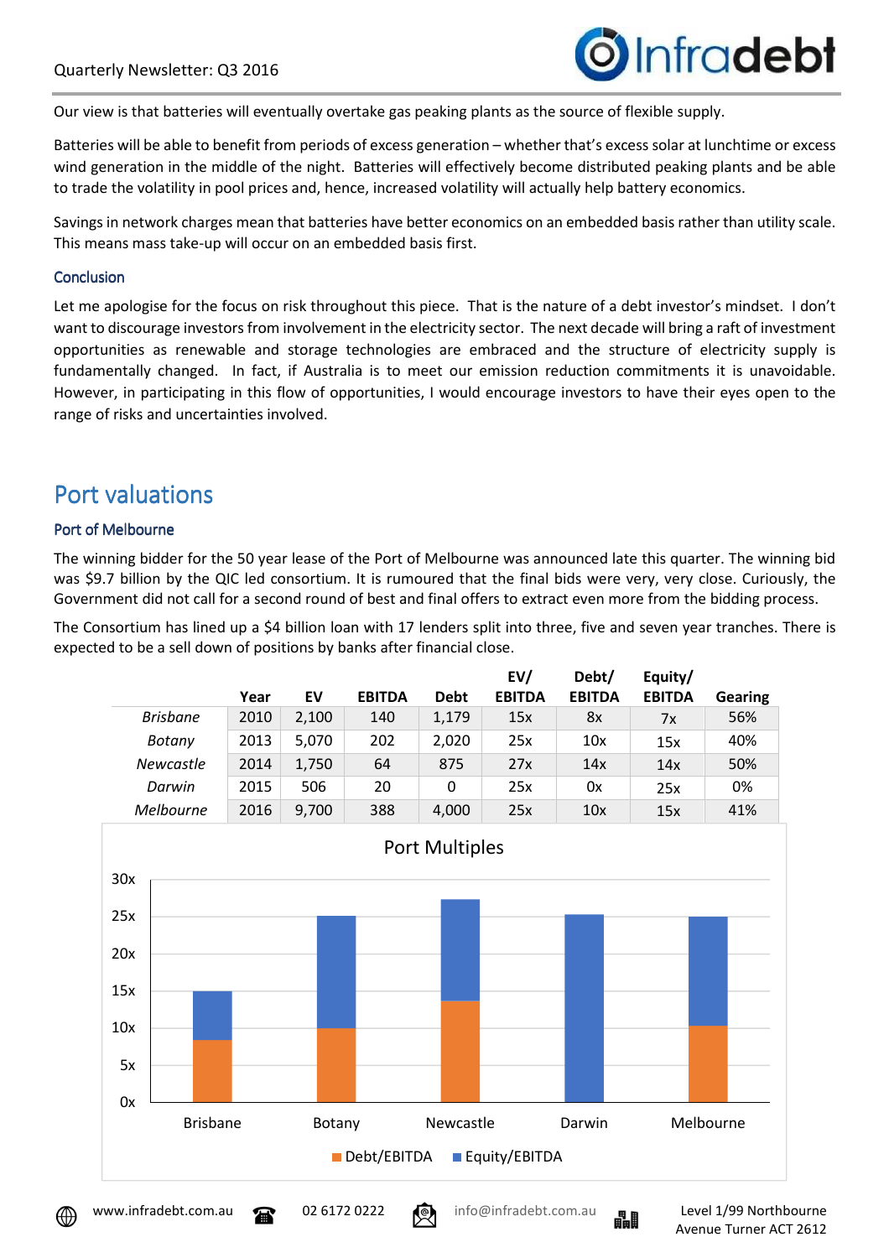

Our view is that batteries will eventually overtake gas peaking plants as the source of flexible supply.

Batteries will be able to benefit from periods of excess generation – whether that's excess solar at lunchtime or excess wind generation in the middle of the night. Batteries will effectively become distributed peaking plants and be able to trade the volatility in pool prices and, hence, increased volatility will actually help battery economics.

Savings in network charges mean that batteries have better economics on an embedded basis rather than utility scale. This means mass take-up will occur on an embedded basis first.

#### **Conclusion**

Let me apologise for the focus on risk throughout this piece. That is the nature of a debt investor's mindset. I don't want to discourage investors from involvement in the electricity sector. The next decade will bring a raft of investment opportunities as renewable and storage technologies are embraced and the structure of electricity supply is fundamentally changed. In fact, if Australia is to meet our emission reduction commitments it is unavoidable. However, in participating in this flow of opportunities, I would encourage investors to have their eyes open to the range of risks and uncertainties involved.

### Port valuations

### Port of Melbourne

The winning bidder for the 50 year lease of the Port of Melbourne was announced late this quarter. The winning bid was \$9.7 billion by the QIC led consortium. It is rumoured that the final bids were very, very close. Curiously, the Government did not call for a second round of best and final offers to extract even more from the bidding process.

The Consortium has lined up a \$4 billion loan with 17 lenders split into three, five and seven year tranches. There is expected to be a sell down of positions by banks after financial close.

|                                | Year                      | EV    | <b>EBITDA</b> | <b>Debt</b>           | EV/<br><b>EBITDA</b> | Debt/<br><b>EBITDA</b>           | Equity/<br><b>EBITDA</b> | <b>Gearing</b> |  |  |
|--------------------------------|---------------------------|-------|---------------|-----------------------|----------------------|----------------------------------|--------------------------|----------------|--|--|
| <b>Brisbane</b>                | 2010                      | 2,100 | 140           | 1,179                 | 15x                  | 8x                               | 7x                       | 56%            |  |  |
| <b>Botany</b>                  | 2013                      | 5,070 | 202           | 2,020                 | 25x                  | 10x                              | 15x                      | 40%            |  |  |
| Newcastle                      | 2014                      | 1,750 | 64            | 875                   | 27x                  | 14x                              | 14x                      | 50%            |  |  |
| Darwin                         | 2015                      | 506   | 20            | 0                     | 25x                  | 0x                               | 25x                      | 0%             |  |  |
| Melbourne                      | 2016                      | 9,700 | 388           | 4,000                 | 25x                  | 10x                              | 15x                      | 41%            |  |  |
| 30x<br>25x                     |                           |       |               | <b>Port Multiples</b> |                      |                                  |                          |                |  |  |
| 20x                            |                           |       |               |                       |                      |                                  |                          |                |  |  |
| 15x                            |                           |       |               |                       |                      |                                  |                          |                |  |  |
| 10x                            |                           |       |               |                       |                      |                                  |                          |                |  |  |
| 5x                             |                           |       |               |                       |                      |                                  |                          |                |  |  |
| 0x                             |                           |       |               |                       |                      |                                  |                          |                |  |  |
|                                | <b>Brisbane</b><br>Botany |       |               |                       |                      | Melbourne<br>Newcastle<br>Darwin |                          |                |  |  |
| Debt/EBITDA<br>■ Equity/EBITDA |                           |       |               |                       |                      |                                  |                          |                |  |  |



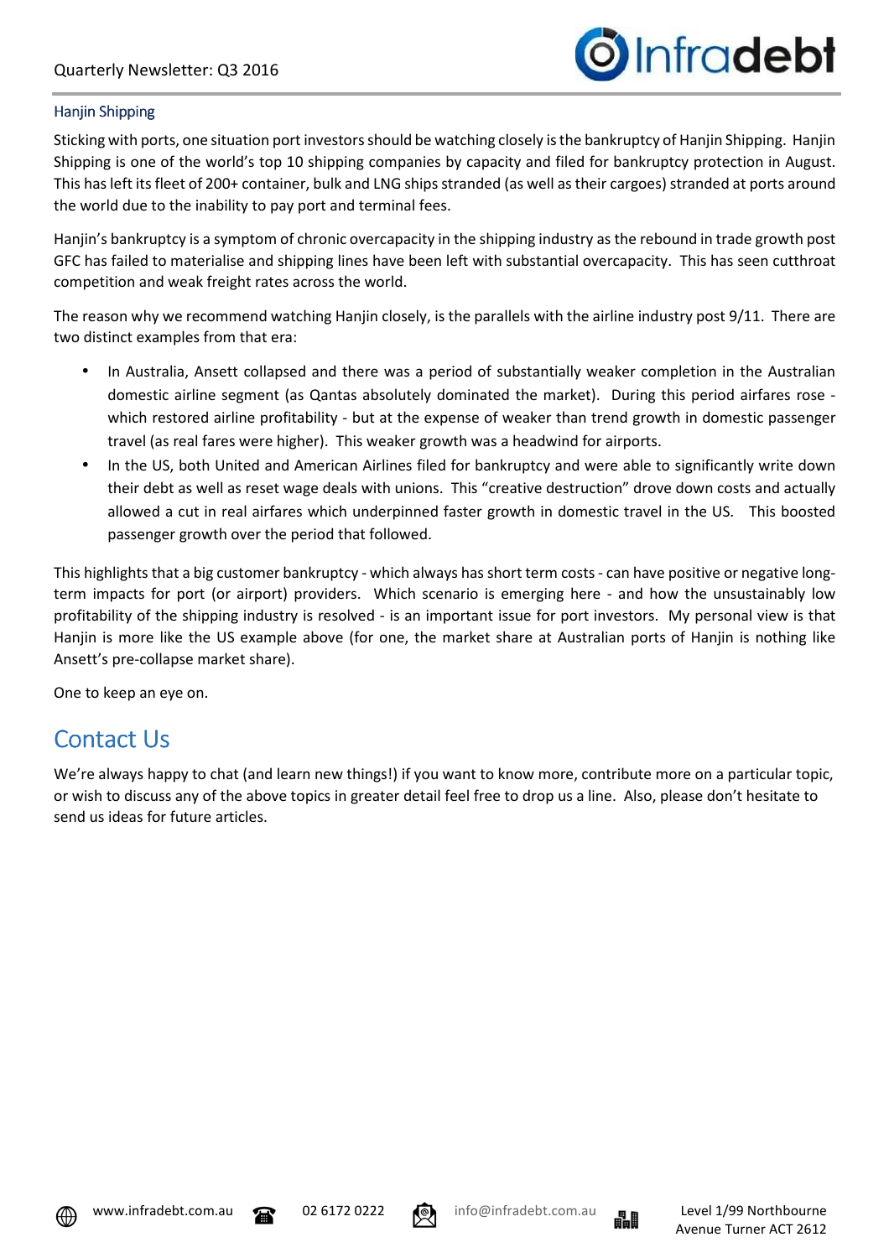

### Hanjin Shipping

Sticking with ports, one situation port investors should be watching closely is the bankruptcy of Hanjin Shipping. Hanjin Shipping is one of the world's top 10 shipping companies by capacity and filed for bankruptcy protection in August. This has left its fleet of 200+ container, bulk and LNG ships stranded (as well as their cargoes) stranded at ports around the world due to the inability to pay port and terminal fees.

Hanjin's bankruptcy is a symptom of chronic overcapacity in the shipping industry as the rebound in trade growth post GFC has failed to materialise and shipping lines have been left with substantial overcapacity. This has seen cutthroat competition and weak freight rates across the world.

The reason why we recommend watching Hanjin closely, is the parallels with the airline industry post 9/11. There are two distinct examples from that era:

- In Australia, Ansett collapsed and there was a period of substantially weaker completion in the Australian domestic airline segment (as Qantas absolutely dominated the market). During this period airfares rose which restored airline profitability - but at the expense of weaker than trend growth in domestic passenger travel (as real fares were higher). This weaker growth was a headwind for airports.
- In the US, both United and American Airlines filed for bankruptcy and were able to significantly write down their debt as well as reset wage deals with unions. This "creative destruction" drove down costs and actually allowed a cut in real airfares which underpinned faster growth in domestic travel in the US. This boosted passenger growth over the period that followed.

This highlights that a big customer bankruptcy - which always has short term costs - can have positive or negative longterm impacts for port (or airport) providers. Which scenario is emerging here - and how the unsustainably low profitability of the shipping industry is resolved - is an important issue for port investors. My personal view is that Hanjin is more like the US example above (for one, the market share at Australian ports of Hanjin is nothing like Ansett's pre-collapse market share).

One to keep an eye on.

# Contact Us

We're always happy to chat (and learn new things!) if you want to know more, contribute more on a particular topic, or wish to discuss any of the above topics in greater detail feel free to drop us a line. Also, please don't hesitate to send us ideas for future articles.